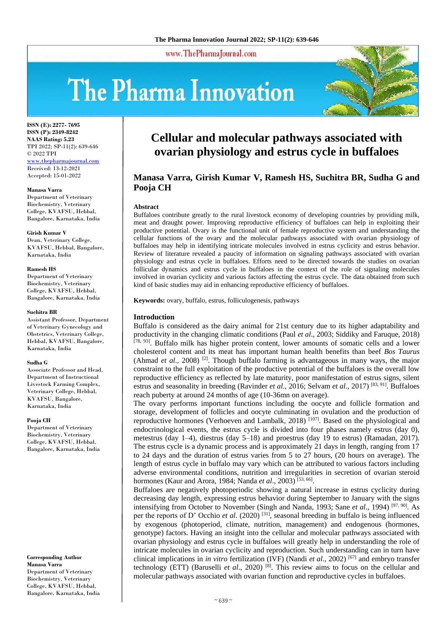www.ThePharmaJournal.com

# The Pharma Innovation



**ISSN (E): 2277- 7695 ISSN (P): 2349-8242 NAAS Rating: 5.23** TPI 2022; SP-11(2): 639-646 © 2022 TPI [www.thepharmajournal.com](file:///C:/Users/gupta/AppData/Roaming/Microsoft/Word/www.thepharmajournal.com) Received: 13-12-2021 Accepted: 15-01-2022

#### **Manasa Varra**

Department of Veterinary Biochemistry, Veterinary College, KVAFSU, Hebbal, Bangalore, Karnataka, India

#### **Girish Kumar V**

Dean, Veterinary College, KVAFSU, Hebbal, Bangalore, Karnataka, India

#### **Ramesh HS**

Department of Veterinary Biochemistry, Veterinary College, KVAFSU, Hebbal, Bangalore, Karnataka, India

#### **Suchitra BR**

Assistant Professor, Department of Veterinary Gynecology and Obstetrics, Veterinary College, Hebbal, KVAFSU, Bangalore, Karnataka, India

#### **Sudha G**

Associate Professor and Head, Department of Instructional Livestock Farming Complex, Veterinary College, Hebbal, KVAFSU, Bangalore, Karnataka, India

#### **Pooja CH**

Department of Veterinary Biochemistry, Veterinary College, KVAFSU, Hebbal, Bangalore, Karnataka, India

**Corresponding Author Manasa Varra** Department of Veterinary Biochemistry, Veterinary College, KVAFSU, Hebbal, Bangalore, Karnataka, India

# **Cellular and molecular pathways associated with ovarian physiology and estrus cycle in buffaloes**

# **Manasa Varra, Girish Kumar V, Ramesh HS, Suchitra BR, Sudha G and Pooja CH**

#### **Abstract**

Buffaloes contribute greatly to the rural livestock economy of developing countries by providing milk, meat and draught power. Improving reproductive efficiency of buffaloes can help in exploiting their productive potential. Ovary is the functional unit of female reproductive system and understanding the cellular functions of the ovary and the molecular pathways associated with ovarian physiology of buffaloes may help in identifying intricate molecules involved in estrus cyclicity and estrus behavior. Review of literature revealed a paucity of information on signaling pathways associated with ovarian physiology and estrus cycle in buffaloes. Efforts need to be directed towards the studies on ovarian follicular dynamics and estrus cycle in buffaloes in the context of the role of signaling molecules involved in ovarian cyclicity and various factors affecting the estrus cycle. The data obtained from such kind of basic studies may aid in enhancing reproductive efficiency of buffaloes.

**Keywords:** ovary, buffalo, estrus, folliculogenesis, pathways

#### **Introduction**

Buffalo is considered as the dairy animal for 21st century due to its higher adaptability and productivity in the changing climatic conditions (Paul *et al*., 2003; Siddiky and Faruque, 2018) [78, 93]. Buffalo milk has higher protein content, lower amounts of somatic cells and a lower cholesterol content and its meat has important human health benefits than beef *Bos Taurus* (Ahmad *et al.*, 2008) <sup>[2]</sup>. Though buffalo farming is advantageous in many ways, the major constraint to the full exploitation of the productive potential of the buffaloes is the overall low reproductive efficiency as reflected by late maturity, poor manifestation of estrus signs, silent estrus and seasonality in breeding (Ravinder *et al.,* 2016; Selvam *et al*., 2017) [83, 91]. Buffaloes reach puberty at around 24 months of age (10-36mn on average).

The ovary performs important functions including the oocyte and follicle formation and storage, development of follicles and oocyte culminating in ovulation and the production of reproductive hormones (Verhoeven and Lambalk, 2018) [107]. Based on the physiological and endocrinological events, the estrus cycle is divided into four phases namely estrus (day 0), metestrus (day 1–4), diestrus (day 5–18) and proestrus (day 19 to estrus) (Ramadan, 2017). The estrus cycle is a dynamic process and is approximately 21 days in length, ranging from 17 to 24 days and the duration of estrus varies from 5 to 27 hours, (20 hours on average). The length of estrus cycle in buffalo may vary which can be attributed to various factors including adverse environmental conditions, nutrition and irregularities in secretion of ovarian steroid hormones (Kaur and Arora, 1984; Nanda *et al.*, 2003)<sup>[53, 66]</sup>.

Buffaloes are negatively photoperiodic showing a natural increase in estrus cyclicity during decreasing day length, expressing estrus behavior during September to January with the signs intensifying from October to November (Singh and Nanda, 1993; Sane *et al*., 1994) [97, 90]. As per the reports of D' Occhio *et al.* (2020)<sup>[31]</sup>, seasonal breeding in buffalo is being influenced by exogenous (photoperiod, climate, nutrition, management) and endogenous (hormones, genotype) factors. Having an insight into the cellular and molecular pathways associated with ovarian physiology and estrus cycle in buffaloes will greatly help in understanding the role of intricate molecules in ovarian cyclicity and reproduction. Such understanding can in turn have clinical implications in *in vitro* fertilization (IVF) (Nandi *et al*., 2002) [67] and embryo transfer technology (ETT) (Baruselli *et al*., 2020) [8]. This review aims to focus on the cellular and molecular pathways associated with ovarian function and reproductive cycles in buffaloes.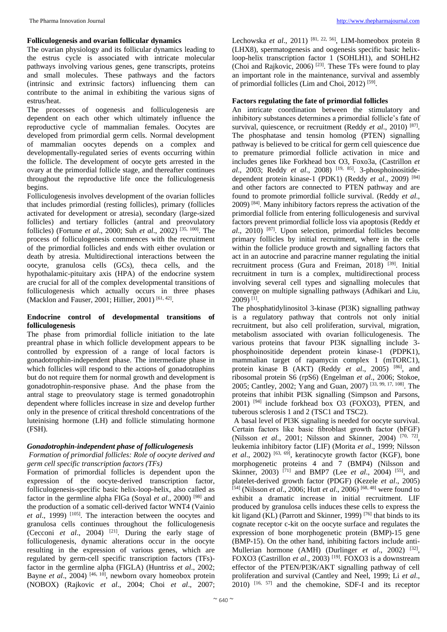# **Folliculogenesis and ovarian follicular dynamics**

The ovarian physiology and its follicular dynamics leading to the estrus cycle is associated with intricate molecular pathways involving various genes, gene transcripts, proteins and small molecules. These pathways and the factors (intrinsic and extrinsic factors) influencing them can contribute to the animal in exhibiting the various signs of estrus/heat.

The processes of oogenesis and folliculogenesis are dependent on each other which ultimately influence the reproductive cycle of mammalian females. Oocytes are developed from primordial germ cells. Normal development of mammalian oocytes depends on a complex and developmentally-regulated series of events occurring within the follicle. The development of oocyte gets arrested in the ovary at the primordial follicle stage, and thereafter continues throughout the reproductive life once the folliculogenesis begins.

Folliculogenesis involves development of the ovarian follicles that includes primordial (resting follicles), primary (follicles activated for development or atresia), secondary (large-sized follicles) and tertiary follicles (antral and preovulatory follicles) (Fortune *et al*., 2000; Suh *et al*., 2002) [35, 100]. The process of folliculogenesis commences with the recruitment of the primordial follicles and ends with either ovulation or death by atresia. Multidirectional interactions between the oocyte, granulosa cells (GCs), theca cells, and the hypothalamic-pituitary axis (HPA) of the endocrine system are crucial for all of the complex developmental transitions of folliculogenesis which actually occurs in three phases (Macklon and Fauser, 2001; Hillier, 2001)<sup>[61, 42]</sup>.

### **Endocrine control of developmental transitions of folliculogenesis**

The phase from primordial follicle initiation to the late preantral phase in which follicle development appears to be controlled by expression of a range of local factors is gonadotrophin-independent phase. The intermediate phase in which follicles will respond to the actions of gonadotrophins but do not require them for normal growth and development is gonadotrophin-responsive phase. And the phase from the antral stage to preovulatory stage is termed gonadotrophin dependent where follicles increase in size and develop further only in the presence of critical threshold concentrations of the luteinising hormone (LH) and follicle stimulating hormone (FSH).

# *Gonadotrophin-independent phase of folliculogenesis*

*Formation of primordial follicles: Role of oocyte derived and germ cell specific transcription factors (TFs)*

Formation of primordial follicles is dependent upon the expression of the oocyte-derived transcription factor, folliculogenesis-specific basic helix-loop-helix, also called as factor in the germline alpha FIGa (Soyal *et al*., 2000) [98] and the production of a somatic cell-derived factor WNT4 (Vainio *et al.*, 1999) <sup>[105]</sup>. The interaction between the oocytes and granulosa cells continues throughout the folliculogenesis (Cecconi *et al.*, 2004) <sup>[21]</sup>. During the early stage of folliculogenesis, dynamic alterations occur in the oocyte resulting in the expression of various genes, which are regulated by germ-cell specific transcription factors (TFs) factor in the germline alpha (FIGLA) (Huntriss *et al*., 2002; Bayne *et al.*, 2004) <sup>[46, 10]</sup>, newborn ovary homeobox protein (NOBOX) (Rajkovic *et al*., 2004; Choi *et al*., 2007; Lechowska *et al.*, 2011)<sup>[81, 22, 56], LIM-homeobox protein 8</sup> (LHX8), spermatogenesis and oogenesis specific basic helixloop-helix transcription factor 1 (SOHLH1), and SOHLH2 (Choi and Rajkovic, 2006)  $^{[23]}$ . These TFs were found to play an important role in the maintenance, survival and assembly of primordial follicles (Lim and Choi, 2012)<sup>[59]</sup>.

# **Factors regulating the fate of primordial follicles**

An intricate coordination between the stimulatory and inhibitory substances determines a primordial follicle's fate of survival, quiescence, or recruitment (Reddy et al., 2010)<sup>[87]</sup>. The phosphatase and tensin homolog (PTEN) signalling pathway is believed to be critical for germ cell quiescence due to premature primordial follicle activation in mice and includes genes like Forkhead box O3, Foxo3a, (Castrillon *et al*., 2003; Reddy *et al*., 2008) [19, 85]. 3-phosphoinositidedependent protein kinase-1 (PDK1) (Reddy *et al*., 2009) [84] and other factors are connected to PTEN pathway and are found to promote primordial follicle survival. (Reddy *et al*.,  $2009$ )  $^{[84]}$ . Many inhibitory factors repress the activation of the primordial follicle from entering folliculogenesis and survival factors prevent primordial follicle loss via apoptosis (Reddy *et al*., 2010) [87]. Upon selection, primordial follicles become primary follicles by initial recruitment, where in the cells within the follicle produce growth and signalling factors that act in an autocrine and paracrine manner regulating the initial recruitment process (Gura and Freiman, 2018)<sup>[39]</sup>. Initial recruitment in turn is a complex, multidirectional process involving several cell types and signalling molecules that converge on multiple signalling pathways (Adhikari and Liu, 2009) [1] .

The phosphatidylinositol 3-kinase (PI3K) signalling pathway is a regulatory pathway that controls not only initial recruitment, but also cell proliferation, survival, migration, metabolism associated with ovarian folliculogenesis. The various proteins that favour PI3K signalling include 3 phosphoinositide dependent protein kinase-1 (PDPK1), mammalian target of rapamycin complex 1 (mTORC1), protein kinase B (AKT) (Reddy *et al*., 2005) [86], and ribosomal protein S6 (rpS6) (Engelman *et al*., 2006; Stokoe, 2005; Cantley, 2002; Yang and Guan, 2007) [33, 99, 17, 108]. The proteins that inhibit PI3K signalling (Simpson and Parsons,  $2001$ )  $[94]$  include forkhead box O3 (FOXO3), PTEN, and tuberous sclerosis 1 and 2 (TSC1 and TSC2).

A basal level of PI3K signaling is needed for oocyte survival. Certain factors like basic fibroblast growth factor (bFGF) (Nilsson *et al.*, 2001; Nilsson and Skinner, 2004)<sup>[70, 72]</sup>, leukemia inhibitory factor (LIF) (Morita *et al*., 1999; Nilsson *et al*., 2002) [63, 69], keratinocyte growth factor (KGF), bone morphogenetic proteins 4 and 7 (BMP4) (Nilsson and Skinner, 2003) <sup>[71]</sup> and BMP7 (Lee *et al.*, 2004) <sup>[55]</sup>, and platelet-derived growth factor (PDGF) (Kezele *et al*., 2005) [54] (Nilsson *et al*., 2006; Hutt *et al*., 2006) [68, 48] were found to exhibit a dramatic increase in initial recruitment. LIF produced by granulosa cells induces these cells to express the kit ligand (KL) (Parrott and Skinner, 1999)<sup>[76]</sup> that binds to its cognate receptor c-kit on the oocyte surface and regulates the expression of bone morphogenetic protein (BMP)-15 gene (BMP-15). On the other hand, inhibiting factors include anti-Mullerian hormone (AMH) (Durlinger et al., 2002) <sup>[32]</sup>, FOXO3 (Castrillon *et al.*, 2003)<sup>[19]</sup>. FOXO3 is a downstream effector of the PTEN/PI3K/AKT signalling pathway of cell proliferation and survival (Cantley and Neel, 1999; Li *et al*.,  $2010$ )  $[16, 57]$  and the chemokine, SDF-I and its receptor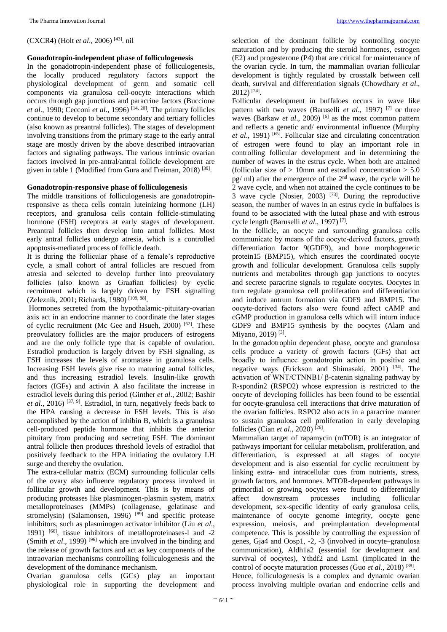# (CXCR4) (Holt *et al*., 2006) [43]. nil

# **Gonadotropin-independent phase of folliculogenesis**

In the gonadotropin-independent phase of folliculogenesis, the locally produced regulatory factors support the physiological development of germ and somatic cell components via granulosa cell-oocyte interactions which occurs through gap junctions and paracrine factors (Buccione *et al*., 1990; Cecconi *et al*., 1996) [14, 20]. The primary follicles continue to develop to become secondary and tertiary follicles (also known as preantral follicles). The stages of development involving transitions from the primary stage to the early antral stage are mostly driven by the above described intraovarian factors and signaling pathways. The various intrinsic ovarian factors involved in pre-antral/antral follicle development are given in table 1 (Modified from Gura and Freiman, 2018)<sup>[39]</sup>.

# **Gonadotropin-responsive phase of folliculogenesis**

The middle transitions of folliculogenesis are gonadotropinresponsive as theca cells contain luteinizing hormone (LH) receptors, and granulosa cells contain follicle-stimulating hormone (FSH) receptors at early stages of development. Preantral follicles then develop into antral follicles. Most early antral follicles undergo atresia, which is a controlled apoptosis-mediated process of follicle death.

It is during the follicular phase of a female's reproductive cycle, a small cohort of antral follicles are rescued from atresia and selected to develop further into preovulatory follicles (also known as Graafian follicles) by cyclic recruitment which is largely driven by FSH signalling (Zeleznik, 2001; Richards, 1980)<sup>[109, 88]</sup>.

Hormones secreted from the hypothalamic-pituitary-ovarian axis act in an endocrine manner to coordinate the later stages of cyclic recruitment (Mc Gee and Hsueh, 2000) [62]. These preovulatory follicles are the major producers of estrogens and are the only follicle type that is capable of ovulation. Estradiol production is largely driven by FSH signaling, as FSH increases the levels of aromatase in granulosa cells. Increasing FSH levels give rise to maturing antral follicles, and thus increasing estradiol levels. Insulin-like growth factors (IGFs) and activin A also facilitate the increase in estradiol levels during this period (Ginther *et al*., 2002; Bashir *et al*., 2016) [37, 9]. Estradiol, in turn, negatively feeds back to the HPA causing a decrease in FSH levels. This is also accomplished by the action of inhibin B, which is a granulosa cell-produced peptide hormone that inhibits the anterior pituitary from producing and secreting FSH. The dominant antral follicle then produces threshold levels of estradiol that positively feedback to the HPA initiating the ovulatory LH surge and thereby the ovulation.

The extra-cellular matrix (ECM) surrounding follicular cells of the ovary also influence regulatory process involved in follicular growth and development. This is by means of producing proteases like plasminogen-plasmin system, matrix metalloproteinases (MMPs) (collagenase, gelatinase and stromelysin) (Salamonsen, 1996) <sup>[89]</sup> and specific protease inhibitors, such as plasminogen activator inhibitor (Liu *et al*., 1991) [60], tissue inhibitors of metalloproteinases-l and -2 (Smith *et al.*, 1999)<sup>[96]</sup> which are involved in the binding and the release of growth factors and act as key components of the intraovarian mechanisms controlling folliculogenesis and the development of the dominance mechanism.

Ovarian granulosa cells (GCs) play an important physiological role in supporting the development and

selection of the dominant follicle by controlling oocyte maturation and by producing the steroid hormones, estrogen (E2) and progesterone (P4) that are critical for maintenance of the ovarian cycle. In turn, the mammalian ovarian follicular development is tightly regulated by crosstalk between cell death, survival and differentiation signals (Chowdhary *et al*.,  $2012$ ) <sup>[24]</sup>.

Follicular development in buffaloes occurs in wave like pattern with two waves (Baruselli *et al*., 1997) [7] or three waves (Barkaw *et al.*, 2009) <sup>[6]</sup> as the most common pattern and reflects a genetic and/ environmental influence (Murphy *et al*., 1991) [65]. Follicular size and circulating concentration of estrogen were found to play an important role in controlling follicular development and in determining the number of waves in the estrus cycle. When both are attained (follicular size of  $> 10$ mm and estradiol concentration  $> 5.0$ )  $pg$  ml) after the emergence of the  $2<sup>nd</sup>$  wave, the cycle will be 2 wave cycle, and when not attained the cycle continues to be 3 wave cycle (Nosier, 2003)  $[73]$ . During the reproductive season, the number of waves in an estrus cycle in buffaloes is found to be associated with the luteal phase and with estrous cycle length (Baruselli *et al*., 1997) [7] .

In the follicle, an oocyte and surrounding granulosa cells communicate by means of the oocyte-derived factors, growth differentiation factor 9(GDF9), and bone morphogenetic protein15 (BMP15), which ensures the coordinated oocyte growth and follicular development. Granulosa cells supply nutrients and metabolites through gap junctions to oocytes and secrete paracrine signals to regulate oocytes. Oocytes in turn regulate granulosa cell proliferation and differentiation and induce antrum formation via GDF9 and BMP15. The oocyte‐derived factors also were found affect cAMP and cGMP production in granulosa cells which will inturn induce GDF9 and BMP15 synthesis by the oocytes (Alam and Miyano, 2019)<sup>[3]</sup>.

In the gonadotrophin dependent phase, oocyte and granulosa cells produce a variety of growth factors (GFs) that act broadly to influence gonadotropin action in positive and negative ways (Erickson and Shimasaki, 2001) [34]. The activation of WNT/CTNNB1/ β-catenin signaling pathway by R-spondin2 (RSPO2) whose expression is restricted to the oocyte of developing follicles has been found to be essential for oocyte-granulosa cell interactions that drive maturation of the ovarian follicles. RSPO2 also acts in a paracrine manner to sustain granulosa cell proliferation in early developing follicles (Cian *et al*., 2020) [26] .

Mammalian target of rapamycin (mTOR) is an integrator of pathways important for cellular metabolism, proliferation, and differentiation, is expressed at all stages of oocyte development and is also essential for cyclic recruitment by linking extra- and intracellular cues from nutrients, stress, growth factors, and hormones. MTOR-dependent pathways in primordial or growing oocytes were found to differentially affect downstream processes including follicular downstream processes including follicular development, sex-specific identity of early granulosa cells, maintenance of oocyte genome integrity, oocyte gene expression, meiosis, and preimplantation developmental competence. This is possible by controlling the expression of genes, Gja4 and Oosp1, -2, -3 (involved in oocyte–granulosa communication), Aldh1a2 (essential for development and survival of oocytes), Ythdf2 and Lsm1 (implicated in the control of oocyte maturation processes (Guo et al., 2018)<sup>[38]</sup>. Hence, folliculogenesis is a complex and dynamic ovarian process involving multiple ovarian and endocrine cells and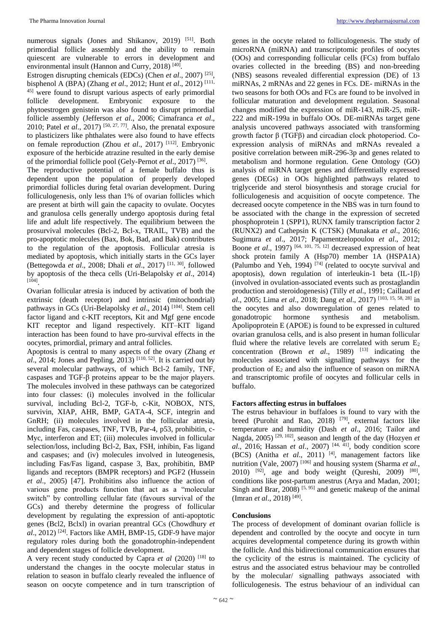numerous signals (Jones and Shikanov, 2019) [51]. Both primordial follicle assembly and the ability to remain quiescent are vulnerable to errors in development and environmental insult (Hannon and Curry, 2018)<sup>[40]</sup>.

Estrogen disrupting chemicals (EDCs) (Chen *et al*., 2007) [25] , bisphenol A (BPA) (Zhang *et al*., 2012; Hunt *et al*., 2012) [111, <sup>45]</sup> were found to disrupt various aspects of early primordial follicle development. Embryonic exposure to the phytoestrogen genistein was also found to disrupt primordial follicle assembly (Jefferson *et al*., 2006; Cimafranca *et al*., 2010; Patel *et al*., 2017) [50, 27, 77]. Also, the prenatal exposure to plasticizers like phthalates were also found to have effects on female reproduction (Zhou *et al*., 2017) [112]. Embryonic exposure of the herbicide atrazine resulted in the early demise of the primordial follicle pool (Gely-Pernot et al., 2017)<sup>[36]</sup>.

The reproductive potential of a female buffalo thus is dependent upon the population of properly developed primordial follicles during fetal ovarian development. During folliculogenesis, only less than 1% of ovarian follicles which are present at birth will gain the capacity to ovulate. Oocytes and granulosa cells generally undergo apoptosis during fetal life and adult life respectively. The equilibrium between the prosurvival molecules (Bcl-2, Bcl-x, TRAIL, TVB) and the pro-apoptotic molecules (Bax, Bok, Bad, and Bak) contributes to the regulation of the apoptosis. Follicular atresia is mediated by apoptosis, which initially starts in the GCs layer (Bettegowda *et al*., 2008; Dhali *et al*., 2017) [11, 30], followed by apoptosis of the theca cells (Uri-Belapolsky *et al*., 2014) [104] .

Ovarian follicular atresia is induced by activation of both the extrinsic (death receptor) and intrinsic (mitochondrial) pathways in GCs (Uri-Belapolsky *et al.*, 2014) <sup>[104]</sup>. Stem cell factor ligand and c-KIT receptors, Kit and Mgf gene encode KIT receptor and ligand respectively. KIT–KIT ligand interaction has been found to have pro-survival effects in the oocytes, primordial, primary and antral follicles.

Apoptosis is central to many aspects of the ovary (Zhang *et*   $a$ ., 2014; Jones and Pepling, 2013)<sup>[110, 52]</sup>. It is carried out by several molecular pathways, of which Bcl-2 family, TNF, caspases and TGF-β proteins appear to be the major players. The molecules involved in these pathways can be categorized into four classes: (i) molecules involved in the follicular survival, including Bcl-2, TGF-b, c-Kit, NOBOX, NTS, survivin, XIAP, AHR, BMP, GATA-4, SCF, integrin and GnRH; (ii) molecules involved in the follicular atresia, including Fas, caspases, TNF, TVB, Par-4, p53, prohibitin, c-Myc, interferon and ET; (iii) molecules involved in follicular selection/loss, including Bcl-2, Bax, FSH, inhibin, Fas ligand and caspases; and (iv) molecules involved in luteogenesis, including Fas/Fas ligand, caspase 3, Bax, prohibitin, BMP ligands and receptors (BMPR receptors) and PGF2 (Hussein *et al*., 2005) [47]. Prohibitins also influence the action of various gene products function that act as a "molecular switch" by controlling cellular fate (favours survival of the GCs) and thereby determine the progress of follicular development by regulating the expression of anti-apoptotic genes (Bcl2, Bclxl) in ovarian preantral GCs (Chowdhury *et al*., 2012) [24]. Factors like AMH, BMP-15, GDF-9 have major regulatory roles during both the gonadotrophin-independent and dependent stages of follicle development.

A very recent study conducted by Capra *et al* (2020) [18] to understand the changes in the oocyte molecular status in relation to season in buffalo clearly revealed the influence of season on oocyte competence and in turn transcription of

genes in the oocyte related to folliculogenesis. The study of microRNA (miRNA) and transcriptomic profiles of oocytes (OOs) and corresponding follicular cells (FCs) from buffalo ovaries collected in the breeding (BS) and non-breeding (NBS) seasons revealed differential expression (DE) of 13 miRNAs, 2 mRNAs and 22 genes in FCs. DE- miRNAs in the two seasons for both OOs and FCs are found to be involved in follicular maturation and development regulation. Seasonal changes modified the expression of miR-143, miR-25, miR-222 and miR-199a in buffalo OOs. DE-miRNAs target gene analysis uncovered pathways associated with transforming growth factor β (TGFβ) and circadian clock photoperiod. Coexpression analysis of miRNAs and mRNAs revealed a positive correlation between miR-296-3p and genes related to metabolism and hormone regulation. Gene Ontology (GO) analysis of miRNA target genes and differentially expressed genes (DEGs) in OOs highlighted pathways related to triglyceride and sterol biosynthesis and storage crucial for folliculogenesis and acquisition of oocyte competence. The decreased oocyte competence in the NBS was in turn found to be associated with the change in the expression of secreted phosphoprotein 1 (SPP1), RUNX family transcription factor 2 (RUNX2) and Cathepsin K (CTSK) (Munakata *et al*., 2016; Sugimura *et al*., 2017; Papamentzelopoulou *et al*., 2012; Boone *et al.*, 1997)  $[64, 101, 75, 12]$  decreased expression of heat shock protein family A (Hsp70) member 1A (HSPA1A) (Palumbo and Yeh, 1994) [74] (related to oocyte survival and apoptosis), down regulation of interleukin-1 beta (IL-1β) (involved in ovulation-associated events such as prostaglandin production and steroidogenesis) (Tilly *et al*., 1991; Caillaud *et al*., 2005; Lima *et al*., 2018; Dang *et al*., 2017) [103, 15, 58, 28] in the oocytes and also downregulation of genes related to gonadotropic hormone synthesis and metabolism. Apolipoprotein E (APOE) is found to be expressed in cultured ovarian granulosa cells, and is also present in human follicular fluid where the relative levels are correlated with serum  $E_2$ concentration (Brown *et al.*, 1989) <sup>[13]</sup> indicating the molecules associated with signalling pathways for the production of  $E_2$  and also the influence of season on miRNA and transcriptomic profile of oocytes and follicular cells in buffalo.

#### **Factors affecting estrus in buffaloes**

The estrus behaviour in buffaloes is found to vary with the breed (Purohit and Rao, 2018) <sup>[79]</sup>, external factors like temperature and humidity (Dash *et al*., 2016; Tailor and Nagda, 2005) [29, 102], season and length of the day (Hozyen *et al*., 2016; Hassan *et al*., 2007) [44, 41], body condition score (BCS) (Anitha *et al*., 2011) [4], management factors like nutrition (Vale, 2007)<sup>[106]</sup> and housing system (Sharma *et al.*, 2010)  $[92]$ , age and body weight (Qureshi, 2009)  $[80]$ , conditions like post-partum anestrus (Arya and Madan, 2001; Singh and Brar,  $2008$ )<sup>[5, 95]</sup> and genetic makeup of the animal (Imran *et al*., 2018) [49] .

### **Conclusions**

The process of development of dominant ovarian follicle is dependent and controlled by the oocyte and oocyte in turn acquires developmental competence during its growth within the follicle. And this bidirectional communication ensures that the cyclicity of the estrus is maintained. The cyclicity of estrus and the associated estrus behaviour may be controlled by the molecular/ signalling pathways associated with folliculogenesis. The estrus behaviour of an individual can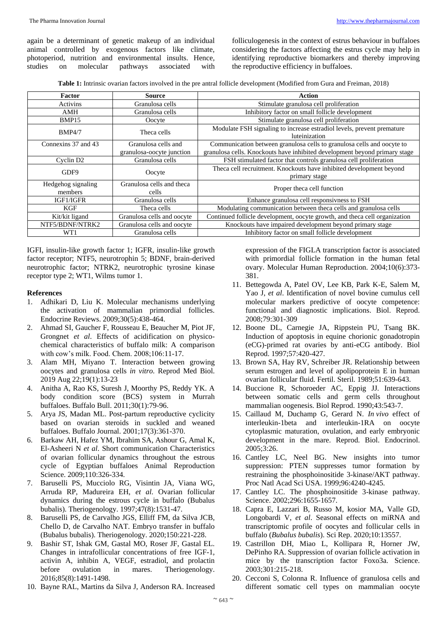again be a determinant of genetic makeup of an individual animal controlled by exogenous factors like climate, photoperiod, nutrition and environmental insults. Hence, studies on molecular pathways associated with

folliculogenesis in the context of estrus behaviour in buffaloes considering the factors affecting the estrus cycle may help in identifying reproductive biomarkers and thereby improving the reproductive efficiency in buffaloes.

**Table 1:** Intrinsic ovarian factors involved in the pre antral follicle development (Modified from Gura and Freiman, 2018)

| Factor                | <b>Source</b>              | Action                                                                                  |
|-----------------------|----------------------------|-----------------------------------------------------------------------------------------|
| Activins              | Granulosa cells            | Stimulate granulosa cell proliferation                                                  |
| AMH                   | Granulosa cells            | Inhibitory factor on small follicle development                                         |
| BMP <sub>15</sub>     | Oocyte                     | Stimulate granulosa cell proliferation                                                  |
| BMP4/7                | Theca cells                | Modulate FSH signaling to increase estradiol levels, prevent premature<br>luteinization |
| Connexins 37 and 43   | Granulosa cells and        | Communication between granulosa cells to granulosa cells and oocyte to                  |
|                       | granulosa-oocyte junction  | granulosa cells. Knockouts have inhibited development beyond primary stage              |
| Cyclin D <sub>2</sub> | Granulosa cells            | FSH stimulated factor that controls granulosa cell proliferation                        |
| GDF9                  | Oocyte                     | Theca cell recruitment. Knockouts have inhibited development beyond                     |
|                       |                            | primary stage                                                                           |
| Hedgehog signaling    | Granulosa cells and theca  | Proper theca cell function                                                              |
| members               | cells                      |                                                                                         |
| IGF1/IGFR             | Granulosa cells            | Enhance granulosa cell responsivness to FSH                                             |
| KGF                   | Theca cells                | Modulating communication between theca cells and granulosa cells                        |
| Kit/kit ligand        | Granulosa cells and oocyte | Continued follicle development, oocyte growth, and theca cell organization              |
| NTF5/BDNF/NTRK2       | Granulosa cells and oocyte | Knockouts have impaired development beyond primary stage                                |
| WT1                   | Granulosa cells            | Inhibitory factor on small follicle development                                         |

IGFI, insulin-like growth factor 1; IGFR, insulin-like growth factor receptor; NTF5, neurotrophin 5; BDNF, brain-derived neurotrophic factor; NTRK2, neurotrophic tyrosine kinase receptor type 2; WT1, Wilms tumor 1.

#### **References**

- 1. Adhikari D, Liu K. Molecular mechanisms underlying the activation of mammalian primordial follicles. Endocrine Reviews. 2009;30(5):438-464.
- 2. Ahmad SI, Gaucher F, Rousseau E, Beaucher M, Piot JF, Grongnet *et al*. Effects of acidification on physicochemical characteristics of buffalo milk: A comparison with cow's milk. Food. Chem. 2008;106:11-17.
- 3. Alam MH, Miyano T. Interaction between growing oocytes and granulosa cells *in vitro*. Reprod Med Biol. 2019 Aug 22;19(1):13-23
- 4. Anitha A, Rao KS, Suresh J, Moorthy PS, Reddy YK. A body condition score (BCS) system in Murrah buffaloes. Buffalo Bull. 2011;30(1):79-96.
- 5. Arya JS, Madan ML. Post-partum reproductive cyclicity based on ovarian steroids in suckled and weaned buffaloes. Buffalo Journal. 2001;17(3):361-370.
- 6. Barkaw AH, Hafez YM, Ibrahim SA, Ashour G, Amal K, El-Asheeri N *et al*. Short communication Characteristics of ovarian follicular dynamics throughout the estrous cycle of Egyptian buffaloes Animal Reproduction Science. 2009;110:326-334.
- 7. Baruselli PS, Mucciolo RG, Visintin JA, Viana WG, Arruda RP, Madureira EH, *et al*. Ovarian follicular dynamics during the estrous cycle in buffalo (Bubalus bubalis). Theriogenology. 1997;47(8):1531-47.
- 8. Baruselli PS, de Carvalho JGS, Elliff FM, da Silva JCB, Chello D, de Carvalho NAT. Embryo transfer in buffalo (Bubalus bubalis). Theriogenology. 2020;150:221-228.
- 9. Bashir ST, Ishak GM, Gastal MO, Roser JF, Gastal EL. Changes in intrafollicular concentrations of free IGF-1, activin A, inhibin A, VEGF, estradiol, and prolactin before ovulation in mares. Theriogenology. 2016;85(8):1491-1498.
- 10. Bayne RAL, Martins da Silva J, Anderson RA. Increased

expression of the FIGLA transcription factor is associated with primordial follicle formation in the human fetal ovary. Molecular Human Reproduction. 2004;10(6):373- 381.

- 11. Bettegowda A, Patel OV, Lee KB, Park K-E, Salem M, Yao J, *et al*. Identification of novel bovine cumulus cell molecular markers predictive of oocyte competence: functional and diagnostic implications. Biol. Reprod. 2008;79:301-309
- 12. Boone DL, Carnegie JA, Rippstein PU, Tsang BK. Induction of apoptosis in equine chorionic gonadotropin (eCG)-primed rat ovaries by anti-eCG antibody. Biol Reprod. 1997;57:420-427.
- 13. Brown SA, Hay RV, Schreiber JR. Relationship between serum estrogen and level of apolipoprotein E in human ovarian follicular fluid. Fertil. Steril. 1989;51:639-643.
- 14. Buccione R, Schoroeder AC, Eppig JJ. Interactions between somatic cells and germ cells throughout mammalian oogenesis. Biol Reprod. 1990;43:543-7.
- 15. Caillaud M, Duchamp G, Gerard N. *In vivo* effect of interleukin-1beta and interleukin-1RA on oocyte cytoplasmic maturation, ovulation, and early embryonic development in the mare. Reprod. Biol. Endocrinol. 2005;3:26.
- 16. Cantley LC, Neel BG. New insights into tumor suppression: PTEN suppresses tumor formation by restraining the phosphoinositide 3-kinase/AKT pathway. Proc Natl Acad Sci USA. 1999;96:4240-4245.
- 17. Cantley LC. The phosphoinositide 3-kinase pathway. Science. 2002;296:1655-1657.
- 18. Capra E, Lazzari B, Russo M, kosior MA, Valle GD, Longobardi V, *et al*. Seasonal effects on miRNA and transcriptomic profile of oocytes and follicular cells in buffalo (*Bubalus bubalis*). Sci Rep. 2020;10:13557.
- 19. Castrillon DH, Miao L, Kollipara R, Horner JW, DePinho RA. Suppression of ovarian follicle activation in mice by the transcription factor Foxo3a. Science. 2003;301:215-218.
- 20. Cecconi S, Colonna R. Influence of granulosa cells and different somatic cell types on mammalian oocyte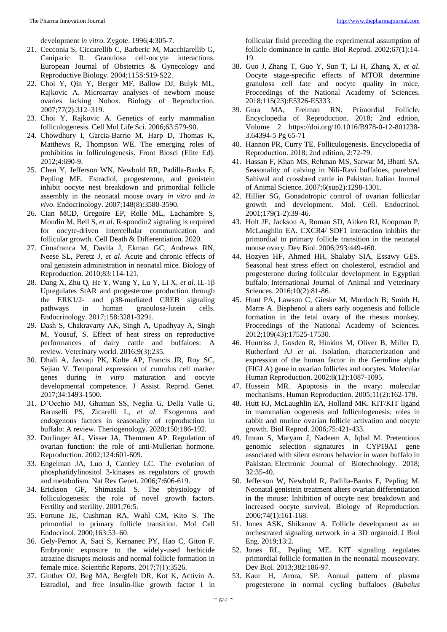development *in vitro*. Zygote. 1996;4:305-7.

- 21. Cecconia S, Ciccarellib C, Barberic M, Macchiarellib G, Caniparic R. Granulosa cell-oocyte interactions. European Journal of Obstetrics & Gynecology and Reproductive Biology. 2004;115S:S19-S22.
- 22. Choi Y, Qin Y, Berger MF, Ballow DJ, Bulyk ML, Rajkovic A. Microarray analyses of newborn mouse ovaries lacking Nobox. Biology of Reproduction. 2007;77(2):312–319.
- 23. Choi Y, Rajkovic A. Genetics of early mammalian folliculogenesis. Cell Mol Life Sci. 2006;63:579-90.
- 24. Chowdhury I, Garcia-Barrio M, Harp D, Thomas K, Matthews R, Thompson WE. The emerging roles of prohibitins in folliculogenesis. Front Biosci (Elite Ed). 2012;4:690-9.
- 25. Chen Y, Jefferson WN, Newbold RR, Padilla-Banks E, Pepling ME. Estradiol, progesterone, and genistein inhibit oocyte nest breakdown and primordial follicle assembly in the neonatal mouse ovary *in vitro* and *in vivo*. Endocrinology. 2007;148(8):3580-3590.
- 26. Cian MCD, Gregoire EP, Rolle ML, Lachambre S, Mondin M, Bell S, *et al*. R-spondin2 signaling is required for oocyte-driven intercellular communication and follicular growth. Cell Death & Differentiation. 2020.
- 27. Cimafranca M, Davila J, Ekman GC, Andrews RN, Neese SL, Peretz J, *et al*. Acute and chronic effects of oral genistein administration in neonatal mice. Biology of Reproduction. 2010;83:114-121.
- 28. Dang X, Zhu Q, He Y, Wang Y, Lu Y, Li X, *et al*. IL-1β Upregulates StAR and progesterone production through the ERK1/2- and p38-mediated CREB signaling pathways in human granulosa-lutein cells. Endocrinology. 2017;158:3281-3291.
- 29. Dash S, Chakravarty AK, Singh A, Upadhyay A, Singh M, Yousuf, S. Effect of heat stress on reproductive performances of dairy cattle and buffaloes: A review. Veterinary world. 2016;9(3):235.
- 30. Dhali A, Javvaji PK, Kolte AP, Francis JR, Roy SC, Sejian V. Temporal expression of cumulus cell marker genes during *in vitro* maturation and oocyte developmental competence. J Assist. Reprod. Genet. 2017;34:1493-1500.
- 31. D'Occhio MJ, Ghuman SS, Neglia G, Della Valle G, Baruselli PS, Zicarelli L, *et al*. Exogenous and endogenous factors in seasonality of reproduction in buffalo: A review. Theriogenology. 2020;150:186-192.
- 32. Durlinger AL, Visser JA, Themmen AP. Regulation of ovarian function: the role of anti-Mullerian hormone. Reproduction. 2002;124:601-609.
- 33. Engelman JA, Luo J, Cantley LC. The evolution of phosphatidylinositol 3-kinases as regulators of growth and metabolism. Nat Rev Genet. 2006;7:606-619.
- 34. Erickson GF, Shimasaki S. The physiology of folliculogenesis: the role of novel growth factors. Fertility and sterility. 2001;76:5.
- 35. Fortune JE, Cushman RA, Wahl CM, Kito S. The primordial to primary follicle transition. Mol Cell Endocrinol. 2000;163:53–60.
- 36. Gely-Pernot A, Saci S, Kernanec PY, Hao C, Giton F. Embryonic exposure to the widely-used herbicide atrazine disrupts meiosis and normal follicle formation in female mice. Scientific Reports. 2017;7(1):3526.
- 37. Ginther OJ, Beg MA, Bergfelt DR, Kot K, Activin A. Estradiol, and free insulin-like growth factor I in

follicular fluid preceding the experimental assumption of follicle dominance in cattle. Biol Reprod. 2002;67(1):14- 19.

- 38. Guo J, Zhang T, Guo Y, Sun T, Li H, Zhang X, *et al*. Oocyte stage-specific effects of MTOR determine granulosa cell fate and oocyte quality in mice. Proceedings of the National Academy of Sciences. 2018;115(23):E5326-E5333.
- 39. Gura MA, Freiman RN. Primordial Follicle. Encyclopedia of Reproduction. 2018; 2nd edition, Volume 2 https://doi.org/10.1016/B978-0-12-801238- 3.64394-5 Pg 65-71
- 40. Hannon PR, Curry TE. Folliculogenesis. Encyclopedia of Reproduction. 2018; 2nd edition, 2:72-79.
- 41. Hassan F, Khan MS, Rehman MS, Sarwar M, Bhatti SA. Seasonality of calving in Nili-Ravi buffaloes, purebred Sahiwal and crossbred cattle in Pakistan. Italian Journal of Animal Science. 2007;6(sup2):1298-1301.
- 42. Hillier SG, Gonadotropic control of ovarian follicular growth and development. Mol. Cell. Endocrinol. 2001;179(1-2):39-46.
- 43. Holt JE, Jackson A, Roman SD, Aitken RJ, Koopman P, McLaughlin EA. CXCR4/ SDF1 interaction inhibits the primordial to primary follicle transition in the neonatal mouse ovary. Dev Biol. 2006;293:449-460.
- 44. Hozyen HF, Ahmed HH, Shalaby SIA, Essawy GES. Seasonal heat stress effect on cholesterol, estradiol and progesterone during follicular development in Egyptian buffalo. International Journal of Animal and Veterinary Sciences. 2016;10(2):81-86.
- 45. Hunt PA, Lawson C, Gieske M, Murdoch B, Smith H, Marre A. Bisphenol a alters early oogenesis and follicle formation in the fetal ovary of the rhesus monkey. Proceedings of the National Academy of Sciences. 2012;109(43):17525-17530.
- 46. Huntriss J, Gosden R, Hinkins M, Oliver B, Miller D, Rutherford AJ *et al*. Isolation, characterization and expression of the human factor in the Germline alpha (FIGLA) gene in ovarian follicles and oocytes. Molecular Human Reproduction. 2002;8(12):1087-1095.
- 47. Hussein MR. Apoptosis in the ovary: molecular mechanisms*.* Human Reproduction. 2005;11(2):162-178.
- 48. Hutt KJ, McLaughlin EA, Holland MK. KIT/KIT ligand in mammalian oogenesis and folliculogenesis: roles in rabbit and murine ovarian follicle activation and oocyte growth. Biol Reprod. 2006;75:421-433.
- 49. Imran S, Maryam J, Nadeem A, Iqbal M. Pretentious genomic selection signatures in CYP19A1 gene associated with silent estrous behavior in water buffalo in Pakistan. Electronic Journal of Biotechnology. 2018; 32:35-40.
- 50. Jefferson W, Newbold R, Padilla-Banks E, Pepling M. Neonatal genistein treatment alters ovarian differentiation in the mouse: Inhibition of oocyte nest breakdown and increased oocyte survival. Biology of Reproduction. 2006;74(1):161-168.
- 51. Jones ASK, Shikanov A. Follicle development as an orchestrated signaling network in a 3D organoid. J Biol Eng. 2019;13:2.
- 52. Jones RL, Pepling ME. KIT signaling regulates primordial follicle formation in the neonatal mouseovary. Dev Biol. 2013;382:186-97.
- 53. Kaur H, Arora, SP. Annual pattern of plasma progesterone in normal cycling buffaloes *(Bubalus*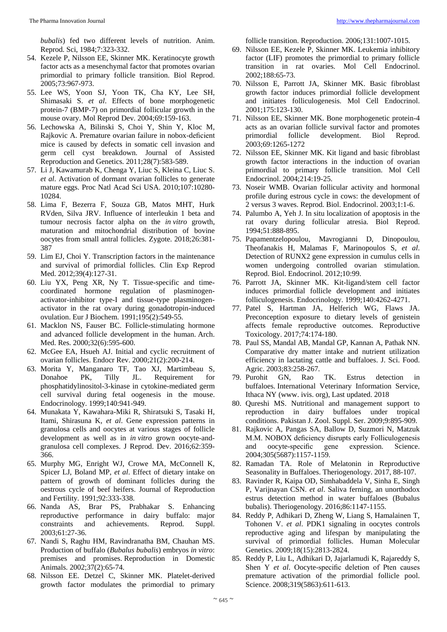*bubalis*) fed two different levels of nutrition. Anim. Reprod. Sci, 1984;7:323-332.

- 54. Kezele P, Nilsson EE, Skinner MK. Keratinocyte growth factor acts as a mesenchymal factor that promotes ovarian primordial to primary follicle transition. Biol Reprod. 2005;73:967-973.
- 55. Lee WS, Yoon SJ, Yoon TK, Cha KY, Lee SH, Shimasaki S. *et al*. Effects of bone morphogenetic protein-7 (BMP-7) on primordial follicular growth in the mouse ovary. Mol Reprod Dev. 2004;69:159-163.
- 56. Lechowska A, Bilinski S, Choi Y, Shin Y, Kloc M, Rajkovic A. Premature ovarian failure in nobox-deficient mice is caused by defects in somatic cell invasion and germ cell cyst breakdown. Journal of Assisted Reproduction and Genetics. 2011;28(7):583-589.
- 57. Li J, Kawamurab K, Chenga Y, Liuc S, Kleina C, Liuc S. *et al*. Activation of dormant ovarian follicles to generate mature eggs. Proc Natl Acad Sci USA. 2010;107:10280- 10284.
- 58. Lima F, Bezerra F, Souza GB, Matos MHT, Hurk RVden, Silva JRV. Influence of interleukin 1 beta and tumour necrosis factor alpha on the *in vitro* growth, maturation and mitochondrial distribution of bovine oocytes from small antral follicles. Zygote. 2018;26:381- 387
- 59. Lim EJ, Choi Y. Transcription factors in the maintenance and survival of primordial follicles. Clin Exp Reprod Med. 2012;39(4):127-31.
- 60. Liu YX, Peng XR, Ny T. Tissue-specific and timecoordinated hormone regulation of plasminogenactivator-inhibitor type-I and tissue-type plasminogenactivator in the rat ovary during gonadotropin-induced ovulation. Eur J Biochem. 1991;195(2):549-55.
- 61. Macklon NS, Fauser BC. Follicle-stimulating hormone and advanced follicle development in the human. Arch. Med. Res. 2000;32(6):595-600.
- 62. McGee EA, Hsueh AJ. Initial and cyclic recruitment of ovarian follicles. Endocr Rev. 2000;21(2):200-214.
- 63. Morita Y, Manganaro TF, Tao XJ, Martimbeau S, Donahoe PK, Tilly JL. Requirement for phosphatidylinositol-3-kinase in cytokine-mediated germ cell survival during fetal oogenesis in the mouse. Endocrinology. 1999;140:941-949.
- 64. Munakata Y, Kawahara-Miki R, Shiratsuki S, Tasaki H, Itami, Shirasuna K, *et al*. Gene expression patterns in granulosa cells and oocytes at various stages of follicle development as well as in *in vitro* grown oocyte-andgranulosa cell complexes. J Reprod. Dev. 2016;62:359- 366.
- 65. Murphy MG, Enright WJ, Crowe MA, McConnell K, Spicer LJ, Boland MP, *et al*. Effect of dietary intake on pattern of growth of dominant follicles during the oestrous cycle of beef heifers. Journal of Reproduction and Fertility. 1991;92:333-338.
- 66. Nanda AS, Brar PS, Prabhakar S. Enhancing reproductive performance in dairy buffalo: major constraints and achievements. Reprod. Suppl. 2003;61:27-36.
- 67. Nandi S, Raghu HM, Ravindranatha BM, Chauhan MS. Production of buffalo (*Bubalus bubalis*) embryos *in vitro*: premises and promises. Reproduction in Domestic Animals. 2002;37(2):65-74.
- 68. Nilsson EE. Detzel C, Skinner MK. Platelet-derived growth factor modulates the primordial to primary

follicle transition. Reproduction. 2006;131:1007-1015.

- 69. Nilsson EE, Kezele P, Skinner MK. Leukemia inhibitory factor (LIF) promotes the primordial to primary follicle transition in rat ovaries. Mol Cell Endocrinol. 2002;188:65-73.
- 70. Nilsson E, Parrott JA, Skinner MK. Basic fibroblast growth factor induces primordial follicle development and initiates folliculogenesis. Mol Cell Endocrinol. 2001;175:123-130.
- 71. Nilsson EE, Skinner MK. Bone morphogenetic protein-4 acts as an ovarian follicle survival factor and promotes primordial follicle development. Biol Reprod. 2003;69:1265-1272
- 72. Nilsson EE, Skinner MK. Kit ligand and basic fibroblast growth factor interactions in the induction of ovarian primordial to primary follicle transition. Mol Cell Endocrinol. 2004;214:19-25.
- 73. Noseir WMB. Ovarian follicular activity and hormonal profile during estrous cycle in cows: the development of 2 versus 3 waves. Reprod. Biol. Endocrinol. 2003;1:1-6.
- 74. Palumbo A, Yeh J. In situ localization of apoptosis in the rat ovary during follicular atresia. Biol Reprod. 1994;51:888-895.
- 75. Papamentzelopoulou, Mavrogianni D, Dinopoulou, Theofanakis H, Malamas F, Marinopoulos S, *et al*. Detection of RUNX2 gene expression in cumulus cells in women undergoing controlled ovarian stimulation. Reprod. Biol. Endocrinol. 2012;10:99.
- 76. Parrott JA, Skinner MK. Kit-ligand/stem cell factor induces primordial follicle development and initiates folliculogenesis. Endocrinology. 1999;140:4262-4271.
- 77. Patel S, Hartman JA, Helferich WG, Flaws JA. Preconception exposure to dietary levels of genistein affects female reproductive outcomes. Reproductive Toxicology. 2017;74:174-180.
- 78. Paul SS, Mandal AB, Mandal GP, Kannan A, Pathak NN. Comparative dry matter intake and nutrient utilization efficiency in lactating cattle and buffaloes. J. Sci. Food. Agric. 2003;83:258-267.
- 79. Purohit GN, Rao TK. Estrus detection in buffaloes. International Veterinary Information Service, Ithaca NY (www. ivis. org), Last updated. 2018
- 80. Qureshi MS. Nutritional and management support to reproduction in dairy buffaloes under tropical conditions. Pakistan J. Zool. Suppl. Ser. 2009;9:895-909.
- 81. Rajkovic A, Pangas SA, Ballow D, Suzmori N, Matzuk M.M. NOBOX deficiency disrupts early Folliculogenesis and oocyte-specific gene expression. Science. 2004;305(5687):1157-1159.
- 82. Ramadan TA. Role of Melatonin in Reproductive Seasonality in Buffaloes. Theriogenology. 2017, 88-107.
- 83. Ravinder R, Kaipa OD, Simhabaddela V, Sinha E, Singh P, Varijnayan CSN. *et al*. Saliva ferning, an unorthodox estrus detection method in water buffaloes (Bubalus bubalis). Theriogenology. 2016;86:1147-1155.
- 84. Reddy P, Adhikari D, Zheng W, Liang S, Hamalainen T, Tohonen V. *et al*. PDK1 signaling in oocytes controls reproductive aging and lifespan by manipulating the survival of primordial follicles. Human Molecular Genetics. 2009;18(15):2813-2824.
- 85. Reddy P, Liu L, Adhikari D, Jajarlamudi K, Rajareddy S, Shen Y *et al*. Oocyte-specific deletion of Pten causes premature activation of the primordial follicle pool. Science. 2008;319(5863):611-613.